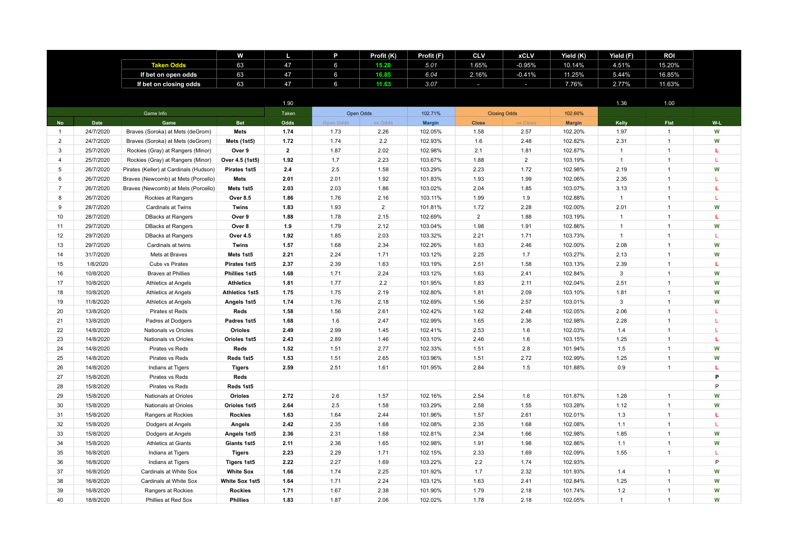|                |           |                                        | W                     | ш              | P              | Profit (K)     | Profit (F)    | <b>CLV</b>     | <b>xCLV</b>         | Yield (K)     | Yield (F)    | <b>ROI</b>     |     |
|----------------|-----------|----------------------------------------|-----------------------|----------------|----------------|----------------|---------------|----------------|---------------------|---------------|--------------|----------------|-----|
|                |           | <b>Taken Odds</b>                      | 63                    | 47             | $6\phantom{1}$ | 15.20          | 5.01          | 1.65%          | $-0.95%$            | 10.14%        | 4.51%        | 15.20%         |     |
|                |           | If bet on open odds                    | 63                    | 47             | 6              | 16.85          | 6.04          | 2.16%          | $-0.41%$            | 11.25%        | 5.44%        | 16.85%         |     |
|                |           | If bet on closing odds                 | 63                    | 47             | 6              | 11.63          | 3.07          | $\sim$         | $\sim$              | 7.76%         | 2.77%        | 11.63%         |     |
|                |           |                                        |                       |                |                |                |               |                |                     |               |              |                |     |
|                |           |                                        |                       | 1.90           |                |                |               |                |                     |               | 1.36         | 1.00           |     |
|                |           | Game Info                              |                       | Taken          |                | Open Odds      | 102.71%       |                | <b>Closing Odds</b> | 102.60%       |              |                |     |
| <b>No</b>      | Date      | Game                                   | <b>Bet</b>            | Odds           | Open Odds      | vs Odds        | <b>Margin</b> | <b>Close</b>   | vs Close            | <b>Margin</b> | Kelly        | Flat           | W-L |
| $\overline{1}$ | 24/7/2020 | Braves (Soroka) at Mets (deGrom)       | <b>Mets</b>           | 1.74           | 1.73           | 2.26           | 102.05%       | 1.58           | 2.57                | 102.20%       | 1.97         | $\mathbf{1}$   | W   |
| $\overline{2}$ | 24/7/2020 | Braves (Soroka) at Mets (deGrom)       | Mets (1st5)           | 1.72           | 1.74           | 2.2            | 102.93%       | 1.6            | 2.48                | 102.82%       | 2.31         | $\mathbf{1}$   | W   |
| 3              | 25/7/2020 | Rockies (Gray) at Rangers (Minor)      | Over 9                | $\overline{2}$ | 1.87           | 2.02           | 102.98%       | 2.1            | 1.81                | 102.87%       | $\mathbf{1}$ | $\mathbf{1}$   | L   |
| 4              | 25/7/2020 | Rockies (Gray) at Rangers (Minor)      | Over 4.5 (1st5)       | 1.92           | 1.7            | 2.23           | 103.67%       | 1.88           | $\overline{2}$      | 103.19%       | $\mathbf{1}$ | $\mathbf{1}$   | L   |
| 5              | 26/7/2020 | Pirates (Keller) at Cardinals (Hudson) | Pirates 1st5          | 2.4            | 2.5            | 1.58           | 103.29%       | 2.23           | 1.72                | 102.98%       | 2.19         | $\mathbf{1}$   | W   |
| 6              | 26/7/2020 | Braves (Newcomb) at Mets (Porcello)    | <b>Mets</b>           | 2.01           | 2.01           | 1.92           | 101.83%       | 1.93           | 1.99                | 102.06%       | 2.35         | $\mathbf{1}$   | T.  |
| $\overline{7}$ | 26/7/2020 | Braves (Newcomb) at Mets (Porcello)    | Mets 1st5             | 2.03           | 2.03           | 1.86           | 103.02%       | 2.04           | 1.85                | 103.07%       | 3.13         | $\mathbf{1}$   | L   |
| 8              | 26/7/2020 | Rockies at Rangers                     | <b>Over 8.5</b>       | 1.86           | 1.76           | 2.16           | 103.11%       | 1.99           | 1.9                 | 102.88%       | $\mathbf{1}$ | $\mathbf{1}$   | T.  |
| 9              | 28/7/2020 | Cardinals at Twins                     | Twins                 | 1.83           | 1.93           | $\overline{2}$ | 101.81%       | 1.72           | 2.28                | 102.00%       | 2.01         | $\mathbf{1}$   | W   |
| 10             | 28/7/2020 | <b>DBacks at Rangers</b>               | Over 9                | 1.88           | 1.78           | 2.15           | 102.69%       | $\overline{2}$ | 1.88                | 103.19%       | 1            | $\overline{1}$ | т   |
| 11             | 29/7/2020 | <b>DBacks at Rangers</b>               | Over 8                | 1.9            | 1.79           | 2.12           | 103.04%       | 1.98           | 1.91                | 102.86%       | $\mathbf{1}$ | $\mathbf{1}$   | W   |
| 12             | 29/7/2020 | <b>DBacks at Rangers</b>               | Over 4.5              | 1.92           | 1.85           | 2.03           | 103.32%       | 2.21           | 1.71                | 103.73%       | $\mathbf{1}$ | $\overline{1}$ | L   |
| 13             | 29/7/2020 | Cardinals at twins                     | Twins                 | 1.57           | 1.68           | 2.34           | 102.26%       | 1.63           | 2.46                | 102.00%       | 2.08         | $\overline{1}$ | W   |
| 14             | 31/7/2020 | Mets at Braves                         | Mets 1st5             | 2.21           | 2.24           | 1.71           | 103.12%       | 2.25           | 1.7                 | 103.27%       | 2.13         | $\overline{1}$ | W   |
| 15             | 1/8/2020  | Cubs vs Pirates                        | Pirates 1st5          | 2.37           | 2.39           | 1.63           | 103.19%       | 2.51           | 1.58                | 103.13%       | 2.39         | $\mathbf{1}$   | L   |
| 16             | 10/8/2020 | <b>Braves at Phillies</b>              | Phillies 1st5         | 1.68           | 1.71           | 2.24           | 103.12%       | 1.63           | 2.41                | 102.84%       | 3            | $\overline{1}$ | W   |
| 17             | 10/8/2020 | Athletics at Angels                    | <b>Athletics</b>      | 1.81           | 1.77           | 2.2            | 101.95%       | 1.83           | 2.11                | 102.04%       | 2.51         | $\mathbf{1}$   | W   |
| 18             | 10/8/2020 | Athletics at Angels                    | <b>Athletics 1st5</b> | 1.75           | 1.75           | 2.19           | 102.80%       | 1.81           | 2.09                | 103.10%       | 1.81         | $\mathbf{1}$   | W   |
| 19             | 11/8/2020 | Athletics at Angels                    | Angels 1st5           | 1.74           | 1.76           | 2.18           | 102.69%       | 1.56           | 2.57                | 103.01%       | 3            | $\mathbf{1}$   | W   |
| 20             | 13/8/2020 | Pirates st Reds                        | Reds                  | 1.58           | 1.56           | 2.61           | 102.42%       | 1.62           | 2.48                | 102.05%       | 2.06         | $\mathbf{1}$   | T.  |
| 21             | 13/8/2020 | Padres at Dodgers                      | Padres 1st5           | 1.68           | 1.6            | 2.47           | 102.99%       | 1.65           | 2.36                | 102.98%       | 2.28         | $\mathbf{1}$   | L   |
| 22             | 14/8/2020 | Nationals vs Orioles                   | Orioles               | 2.49           | 2.99           | 1.45           | 102.41%       | 2.53           | 1.6                 | 102.03%       | 1.4          | $\mathbf{1}$   | L   |
| 23             | 14/8/2020 | Nationals vs Orioles                   | Orioles 1st5          | 2.43           | 2.89           | 1.46           | 103.10%       | 2.46           | 1.6                 | 103.15%       | 1.25         | $\overline{1}$ | L   |
| 24             | 14/8/2020 | Pirates vs Reds                        | Reds                  | 1.52           | 1.51           | 2.77           | 102.33%       | 1.51           | 2.8                 | 101.94%       | 1.5          | $\overline{1}$ | W   |
| 25             | 14/8/2020 | Pirates vs Reds                        | Reds 1st5             | 1.53           | 1.51           | 2.65           | 103.96%       | 1.51           | 2.72                | 102.99%       | 1.25         | $\overline{1}$ | W   |
| 26             | 14/8/2020 | Indians at Tigers                      | <b>Tigers</b>         | 2.59           | 2.51           | 1.61           | 101.95%       | 2.84           | 1.5                 | 101.88%       | 0.9          | $\mathbf{1}$   | L   |
| 27             | 15/8/2020 | Pirates vs Reds                        | Reds                  |                |                |                |               |                |                     |               |              |                | P   |
| 28             | 15/8/2020 | Pirates vs Reds                        | Reds 1st5             |                |                |                |               |                |                     |               |              |                | P   |
| 29             | 15/8/2020 | Nationals at Orioles                   | Orioles               | 2.72           | 2.6            | 1.57           | 102.16%       | 2.54           | 1.6                 | 101.87%       | 1.28         | $\mathbf{1}$   | W   |
| 30             | 15/8/2020 | Nationals at Orioles                   | Orioles 1st5          | 2.64           | 2.5            | 1.58           | 103.29%       | 2.58           | 1.55                | 103.28%       | 1.12         | $\mathbf{1}$   | W   |
| 31             | 15/8/2020 | Rangers at Rockies                     | <b>Rockies</b>        | 1.63           | 1.64           | 2.44           | 101.96%       | 1.57           | 2.61                | 102.01%       | 1.3          | $\mathbf{1}$   | L   |
| 32             | 15/8/2020 | Dodgers at Angels                      | Angels                | 2.42           | 2.35           | 1.68           | 102.08%       | 2.35           | 1.68                | 102.08%       | 1.1          | $\mathbf{1}$   | L   |
| 33             | 15/8/2020 | Dodgers at Angels                      | Angels 1st5           | 2.36           | 2.31           | 1.68           | 102.81%       | 2.34           | 1.66                | 102.98%       | 1.85         | $\mathbf{1}$   | W   |
| 34             | 15/8/2020 | <b>Athletics at Giants</b>             | Giants 1st5           | 2.11           | 2.36           | 1.65           | 102.98%       | 1.91           | 1.98                | 102.86%       | 1.1          | $\overline{1}$ | W   |
| 35             | 16/8/2020 | Indians at Tigers                      | <b>Tigers</b>         | 2.23           | 2.29           | 1.71           | 102.15%       | 2.33           | 1.69                | 102.09%       | 1.55         | $\mathbf{1}$   | L   |
| 36             | 16/8/2020 | Indians at Tigers                      | <b>Tigers 1st5</b>    | 2.22           | 2.27           | 1.69           | 103.22%       | 2.2            | 1.74                | 102.93%       |              |                | P   |
| 37             | 16/8/2020 | Cardinals at White Sox                 | <b>White Sox</b>      | 1.66           | 1.74           | 2.25           | 101.92%       | 1.7            | 2.32                | 101.93%       | 1.4          | $\mathbf{1}$   | W   |
| 38             | 16/8/2020 | Cardinals at White Sox                 | White Sox 1st5        | 1.64           | 1.71           | 2.24           | 103.12%       | 1.63           | 2.41                | 102.84%       | 1.25         | $\overline{1}$ | W   |
| 39             | 16/8/2020 | Rangers at Rockies                     | <b>Rockies</b>        | 1.71           | 1.67           | 2.38           | 101.90%       | 1.79           | 2.18                | 101.74%       | 1.2          | $\mathbf{1}$   | W   |
| 40             | 18/8/2020 | Phillies at Red Sox                    | <b>Phillies</b>       | 1.83           | 1.87           | 2.06           | 102.02%       | 1.78           | 2.18                | 102.05%       | $\mathbf{1}$ | $\overline{1}$ | W   |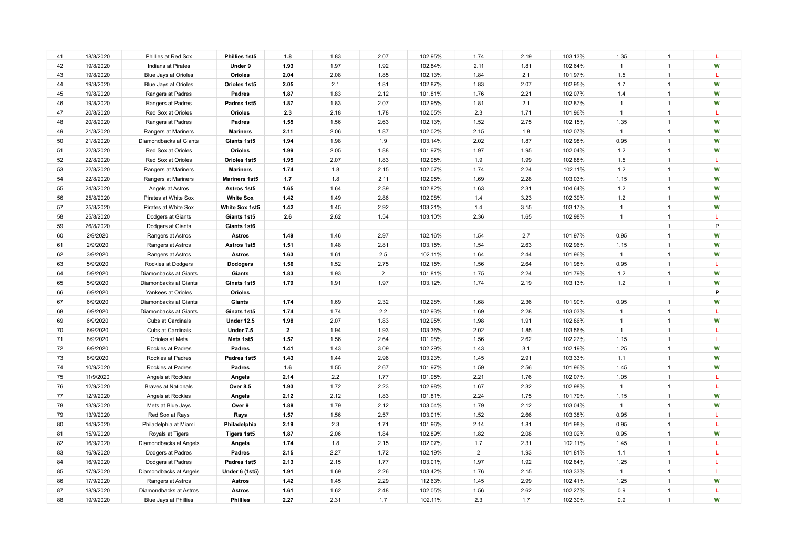| 41 | 18/8/2020 | Phillies at Red Sox        | Phillies 1st5         | 1.8            | 1.83 | 2.07           | 102.95% | 1.74           | 2.19 | 103.13% | 1.35         | $\mathbf{1}$ | L  |
|----|-----------|----------------------------|-----------------------|----------------|------|----------------|---------|----------------|------|---------|--------------|--------------|----|
| 42 | 19/8/2020 | Indians at Pirates         | Under 9               | 1.93           | 1.97 | 1.92           | 102.84% | 2.11           | 1.81 | 102.64% | $\mathbf{1}$ | $\mathbf{1}$ | W  |
| 43 | 19/8/2020 | Blue Jays at Orioles       | Orioles               | 2.04           | 2.08 | 1.85           | 102.13% | 1.84           | 2.1  | 101.97% | 1.5          | $\mathbf{1}$ | L. |
| 44 | 19/8/2020 | Blue Jays at Orioles       | Orioles 1st5          | 2.05           | 2.1  | 1.81           | 102.87% | 1.83           | 2.07 | 102.95% | 1.7          | $\mathbf{1}$ | W  |
| 45 | 19/8/2020 | Rangers at Padres          | Padres                | 1.87           | 1.83 | 2.12           | 101.81% | 1.76           | 2.21 | 102.07% | 1.4          | $\mathbf{1}$ | W  |
| 46 | 19/8/2020 | Rangers at Padres          | Padres 1st5           | 1.87           | 1.83 | 2.07           | 102.95% | 1.81           | 2.1  | 102.87% | $\mathbf{1}$ | $\mathbf{1}$ | W  |
| 47 | 20/8/2020 | Red Sox at Orioles         | Orioles               | 2.3            | 2.18 | 1.78           | 102.05% | 2.3            | 1.71 | 101.96% | $\mathbf{1}$ | $\mathbf{1}$ | L. |
| 48 | 20/8/2020 | Rangers at Padres          | Padres                | 1.55           | 1.56 | 2.63           | 102.13% | 1.52           | 2.75 | 102.15% | 1.35         | $\mathbf{1}$ | W  |
| 49 | 21/8/2020 | Rangers at Mariners        | <b>Mariners</b>       | 2.11           | 2.06 | 1.87           | 102.02% | 2.15           | 1.8  | 102.07% | $\mathbf{1}$ | $\mathbf{1}$ | W  |
| 50 | 21/8/2020 | Diamondbacks at Giants     | Giants 1st5           | 1.94           | 1.98 | 1.9            | 103.14% | 2.02           | 1.87 | 102.98% | 0.95         | $\mathbf{1}$ | W  |
| 51 | 22/8/2020 | Red Sox at Orioles         | Orioles               | 1.99           | 2.05 | 1.88           | 101.97% | 1.97           | 1.95 | 102.04% | 1.2          | $\mathbf{1}$ | W  |
| 52 | 22/8/2020 | Red Sox at Orioles         | Orioles 1st5          | 1.95           | 2.07 | 1.83           | 102.95% | 1.9            | 1.99 | 102.88% | 1.5          | $\mathbf{1}$ | L  |
| 53 | 22/8/2020 | Rangers at Mariners        | <b>Mariners</b>       | 1.74           | 1.8  | 2.15           | 102.07% | 1.74           | 2.24 | 102.11% | 1.2          | $\mathbf{1}$ | W  |
| 54 | 22/8/2020 | Rangers at Mariners        | <b>Mariners 1st5</b>  | 1.7            | 1.8  | 2.11           | 102.95% | 1.69           | 2.28 | 103.03% | 1.15         | $\mathbf{1}$ | W  |
| 55 | 24/8/2020 | Angels at Astros           | Astros 1st5           | 1.65           | 1.64 | 2.39           | 102.82% | 1.63           | 2.31 | 104.64% | 1.2          | $\mathbf{1}$ | W  |
| 56 | 25/8/2020 | Pirates at White Sox       | <b>White Sox</b>      | 1.42           | 1.49 | 2.86           | 102.08% | 1.4            | 3.23 | 102.39% | 1.2          | $\mathbf{1}$ | W  |
| 57 | 25/8/2020 | Pirates at White Sox       | White Sox 1st5        | 1.42           | 1.45 | 2.92           | 103.21% | 1.4            | 3.15 | 103.17% | $\mathbf{1}$ | $\mathbf{1}$ | W  |
| 58 | 25/8/2020 | Dodgers at Giants          | Giants 1st5           | 2.6            | 2.62 | 1.54           | 103.10% | 2.36           | 1.65 | 102.98% | $\mathbf{1}$ | $\mathbf{1}$ | L  |
| 59 | 26/8/2020 | Dodgers at Giants          | Giants 1st6           |                |      |                |         |                |      |         |              | $\mathbf{1}$ | P  |
| 60 | 2/9/2020  | Rangers at Astros          | <b>Astros</b>         | 1.49           | 1.46 | 2.97           | 102.16% | 1.54           | 2.7  | 101.97% | 0.95         | $\mathbf{1}$ | W  |
| 61 | 2/9/2020  | Rangers at Astros          | Astros 1st5           | 1.51           | 1.48 | 2.81           | 103.15% | 1.54           | 2.63 | 102.96% | 1.15         | $\mathbf{1}$ | W  |
| 62 | 3/9/2020  | Rangers at Astros          | <b>Astros</b>         | 1.63           | 1.61 | 2.5            | 102.11% | 1.64           | 2.44 | 101.96% | $\mathbf{1}$ | $\mathbf{1}$ | W  |
| 63 | 5/9/2020  | Rockies at Dodgers         | <b>Dodogers</b>       | 1.56           | 1.52 | 2.75           | 102.15% | 1.56           | 2.64 | 101.98% | 0.95         | $\mathbf{1}$ | T. |
| 64 | 5/9/2020  | Diamonbacks at Giants      | Giants                | 1.83           | 1.93 | $\overline{2}$ | 101.81% | 1.75           | 2.24 | 101.79% | 1.2          | $\mathbf{1}$ | W  |
| 65 | 5/9/2020  | Diamonbacks at Giants      | Ginats 1st5           | 1.79           | 1.91 | 1.97           | 103.12% | 1.74           | 2.19 | 103.13% | 1.2          | $\mathbf{1}$ | W  |
| 66 | 6/9/2020  | Yankees at Orioles         | Orioles               |                |      |                |         |                |      |         |              |              | P  |
| 67 | 6/9/2020  | Diamonbacks at Giants      | Giants                | 1.74           | 1.69 | 2.32           | 102.28% | 1.68           | 2.36 | 101.90% | 0.95         | $\mathbf{1}$ | W  |
| 68 | 6/9/2020  | Diamonbacks at Giants      | Ginats 1st5           | 1.74           | 1.74 | 2.2            | 102.93% | 1.69           | 2.28 | 103.03% | $\mathbf{1}$ | $\mathbf{1}$ | L  |
| 69 | 6/9/2020  | Cubs at Cardinals          | <b>Under 12.5</b>     | 1.98           | 2.07 | 1.83           | 102.95% | 1.98           | 1.91 | 102.86% | $\mathbf{1}$ | $\mathbf{1}$ | W  |
| 70 | 6/9/2020  | Cubs at Cardinals          | Under 7.5             | $\overline{2}$ | 1.94 | 1.93           | 103.36% | 2.02           | 1.85 | 103.56% | $\mathbf{1}$ | $\mathbf{1}$ | L. |
| 71 | 8/9/2020  | Orioles at Mets            | Mets 1st5             | 1.57           | 1.56 | 2.64           | 101.98% | 1.56           | 2.62 | 102.27% | 1.15         | $\mathbf{1}$ | L  |
| 72 | 8/9/2020  | Rockies at Padres          | Padres                | 1.41           | 1.43 | 3.09           | 102.29% | 1.43           | 3.1  | 102.19% | 1.25         | $\mathbf{1}$ | W  |
| 73 | 8/9/2020  | Rockies at Padres          | Padres 1st5           | 1.43           | 1.44 | 2.96           | 103.23% | 1.45           | 2.91 | 103.33% | 1.1          | $\mathbf{1}$ | W  |
| 74 | 10/9/2020 | Rockies at Padres          | <b>Padres</b>         | 1.6            | 1.55 | 2.67           | 101.97% | 1.59           | 2.56 | 101.96% | 1.45         | $\mathbf{1}$ | W  |
| 75 | 11/9/2020 | Angels at Rockies          | Angels                | 2.14           | 2.2  | 1.77           | 101.95% | 2.21           | 1.76 | 102.07% | 1.05         | $\mathbf{1}$ | L  |
| 76 | 12/9/2020 | <b>Braves at Nationals</b> | <b>Over 8.5</b>       | 1.93           | 1.72 | 2.23           | 102.98% | 1.67           | 2.32 | 102.98% | $\mathbf{1}$ | $\mathbf{1}$ | L. |
| 77 | 12/9/2020 | Angels at Rockies          | Angels                | 2.12           | 2.12 | 1.83           | 101.81% | 2.24           | 1.75 | 101.79% | 1.15         | $\mathbf{1}$ | W  |
| 78 | 13/9/2020 | Mets at Blue Jays          | Over 9                | 1.88           | 1.79 | 2.12           | 103.04% | 1.79           | 2.12 | 103.04% | $\mathbf{1}$ | $\mathbf{1}$ | W  |
| 79 | 13/9/2020 | Red Sox at Rays            | Rays                  | 1.57           | 1.56 | 2.57           | 103.01% | 1.52           | 2.66 | 103.38% | 0.95         | $\mathbf{1}$ | L  |
| 80 | 14/9/2020 | Philadelphia at Miami      | Philadelphia          | 2.19           | 2.3  | 1.71           | 101.96% | 2.14           | 1.81 | 101.98% | 0.95         | $\mathbf{1}$ | L. |
| 81 | 15/9/2020 | Royals at Tigers           | <b>Tigers 1st5</b>    | 1.87           | 2.06 | 1.84           | 102.89% | 1.82           | 2.08 | 103.02% | 0.95         | $\mathbf{1}$ | W  |
| 82 | 16/9/2020 | Diamondbacks at Angels     | Angels                | 1.74           | 1.8  | 2.15           | 102.07% | 1.7            | 2.31 | 102.11% | 1.45         | $\mathbf{1}$ | т. |
| 83 | 16/9/2020 | Dodgers at Padres          | Padres                | 2.15           | 2.27 | 1.72           | 102.19% | $\overline{2}$ | 1.93 | 101.81% | 1.1          | $\mathbf{1}$ | T. |
| 84 | 16/9/2020 | Dodgers at Padres          | Padres 1st5           | 2.13           | 2.15 | 1.77           | 103.01% | 1.97           | 1.92 | 102.84% | 1.25         | $\mathbf{1}$ | L  |
| 85 | 17/9/2020 | Diamondbacks at Angels     | <b>Under 6 (1st5)</b> | 1.91           | 1.69 | 2.26           | 103.42% | 1.76           | 2.15 | 103.33% | $\mathbf{1}$ | $\mathbf{1}$ | L  |
| 86 | 17/9/2020 | Rangers at Astros          | <b>Astros</b>         | 1.42           | 1.45 | 2.29           | 112.63% | 1.45           | 2.99 | 102.41% | 1.25         | $\mathbf{1}$ | W  |
| 87 | 18/9/2020 | Diamondbacks at Astros     | <b>Astros</b>         | 1.61           | 1.62 | 2.48           | 102.05% | 1.56           | 2.62 | 102.27% | 0.9          | $\mathbf{1}$ | L  |
| 88 | 19/9/2020 | Blue Jays at Phillies      | <b>Phillies</b>       | 2.27           | 2.31 | 1.7            | 102.11% | 2.3            | 1.7  | 102.30% | 0.9          | $\mathbf{1}$ | W  |